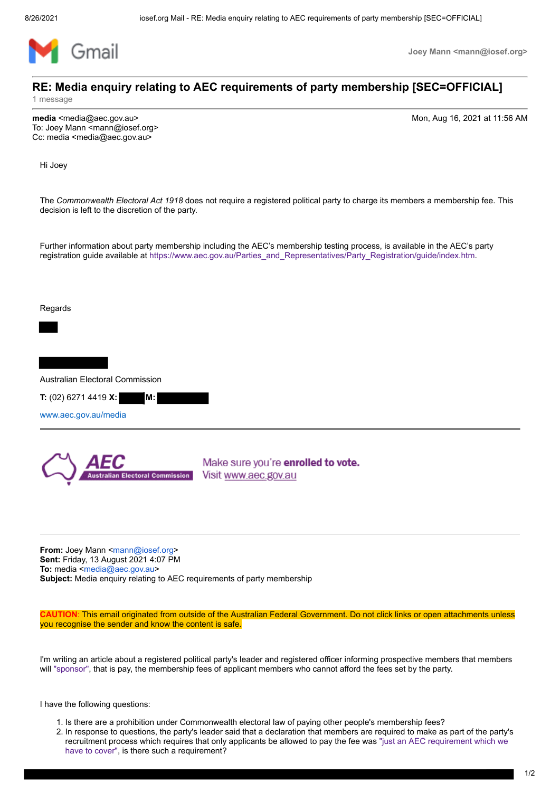

**Joey Mann <mann@iosef.org>**

## **RE: Media enquiry relating to AEC requirements of party membership [SEC=OFFICIAL]**

1 message

**media** <media@aec.gov.au> Mon, Aug 16, 2021 at 11:56 AM

To: Joey Mann <mann@iosef.org> Cc: media <media@aec.gov.au>

Hi Joey

The *Commonwealth Electoral Act 1918* does not require a registered political party to charge its members a membership fee. This decision is left to the discretion of the party.

Further information about party membership including the AEC's membership testing process, is available in the AEC's party registration guide available at https://www.aec.gov.au/Parties\_and\_Representatives/Party\_Registration/guide/index.htm.

Regards

Australian Electoral Commission

**T:** (02) 6271 4419 **X: M:**

www.aec.gov.au/media



Make sure you're enrolled to vote. Visit www.aec.gov.au

**From:** Joey Mann <mann@iosef.org> **Sent:** Friday, 13 August 2021 4:07 PM **To:** media <media@aec.gov.au> **Subject:** Media enquiry relating to AEC requirements of party membership

**CAUTION**: This email originated from outside of the Australian Federal Government. Do not click links or open attachments unless you recognise the sender and know the content is safe.

I'm writing an article about a registered political party's leader and registered officer informing prospective members that members will "sponsor", that is pay, the membership fees of applicant members who cannot afford the fees set by the party.

I have the following questions:

- 1. Is there are a prohibition under Commonwealth electoral law of paying other people's membership fees?
- 2. In response to questions, the party's leader said that a declaration that members are required to make as part of the party's recruitment process which requires that only applicants be allowed to pay the fee was "just an AEC requirement which we have to cover", is there such a requirement?